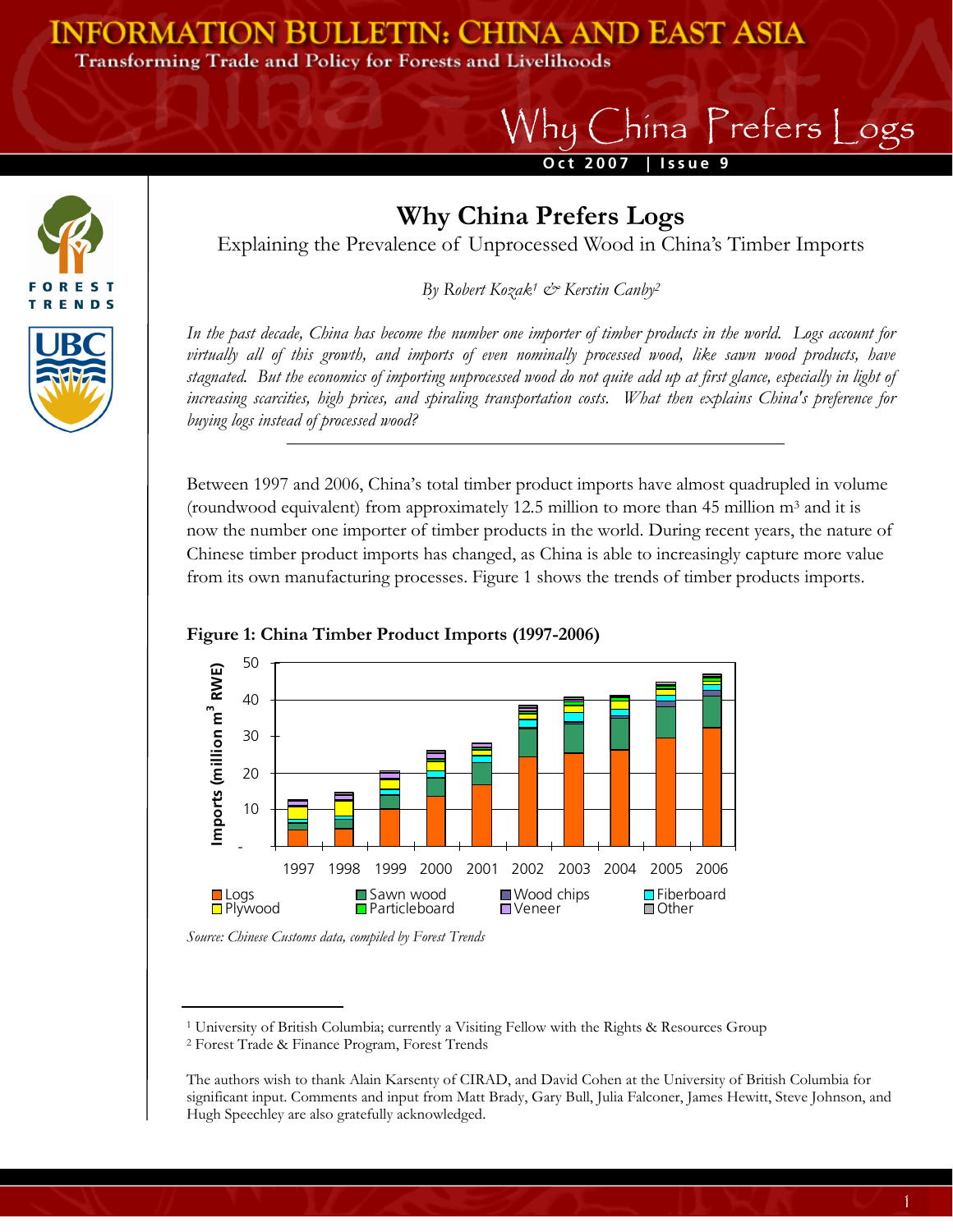## **INFORMATION BULLETIN: CHINA AND EAST ASIA**

**Transforming Trade and Policy for Forests and Livelihoods** 

s **RENDS** 

## **Oct 2007 | Issue 9**  Why China Prefers Logs



Explaining the Prevalence of Unprocessed Wood in China's Timber Imports

*By Robert Kozak1 & Kerstin Canby2*

*In the past decade, China has become the number one importer of timber products in the world. Logs account for virtually all of this growth, and imports of even nominally processed wood, like sawn wood products, have stagnated. But the economics of importing unprocessed wood do not quite add up at first glance, especially in light of increasing scarcities, high prices, and spiraling transportation costs. What then explains China's preference for buying logs instead of processed wood?* 

Between 1997 and 2006, China's total timber product imports have almost quadrupled in volume (roundwood equivalent) from approximately 12.5 million to more than 45 million m3 and it is now the number one importer of timber products in the world. During recent years, the nature of Chinese timber product imports has changed, as China is able to increasingly capture more value from its own manufacturing processes. Figure 1 shows the trends of timber products imports.



## **Figure 1: China Timber Product Imports (1997-2006)**

*Source: Chinese Customs data, compiled by Forest Trends* 

1 University of British Columbia; currently a Visiting Fellow with the Rights & Resources Group 2 Forest Trade & Finance Program, Forest Trends

The authors wish to thank Alain Karsenty of CIRAD, and David Cohen at the University of British Columbia for significant input. Comments and input from Matt Brady, Gary Bull, Julia Falconer, James Hewitt, Steve Johnson, and Hugh Speechley are also gratefully acknowledged.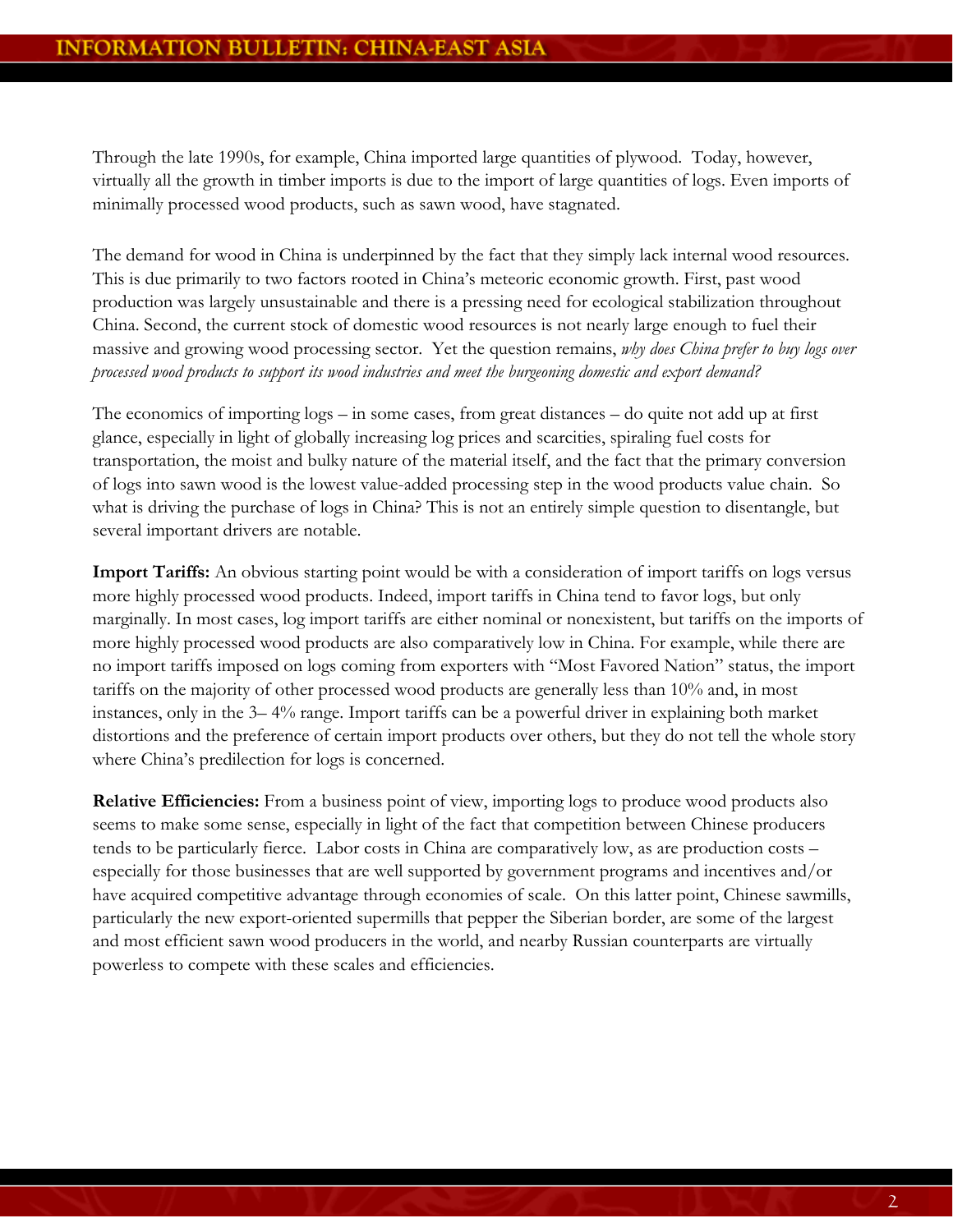Through the late 1990s, for example, China imported large quantities of plywood. Today, however, virtually all the growth in timber imports is due to the import of large quantities of logs. Even imports of minimally processed wood products, such as sawn wood, have stagnated.

The demand for wood in China is underpinned by the fact that they simply lack internal wood resources. This is due primarily to two factors rooted in China's meteoric economic growth. First, past wood production was largely unsustainable and there is a pressing need for ecological stabilization throughout China. Second, the current stock of domestic wood resources is not nearly large enough to fuel their massive and growing wood processing sector. Yet the question remains, *why does China prefer to buy logs over processed wood products to support its wood industries and meet the burgeoning domestic and export demand?*

The economics of importing logs – in some cases, from great distances – do quite not add up at first glance, especially in light of globally increasing log prices and scarcities, spiraling fuel costs for transportation, the moist and bulky nature of the material itself, and the fact that the primary conversion of logs into sawn wood is the lowest value-added processing step in the wood products value chain. So what is driving the purchase of logs in China? This is not an entirely simple question to disentangle, but several important drivers are notable.

**Import Tariffs:** An obvious starting point would be with a consideration of import tariffs on logs versus more highly processed wood products. Indeed, import tariffs in China tend to favor logs, but only marginally. In most cases, log import tariffs are either nominal or nonexistent, but tariffs on the imports of more highly processed wood products are also comparatively low in China. For example, while there are no import tariffs imposed on logs coming from exporters with "Most Favored Nation" status, the import tariffs on the majority of other processed wood products are generally less than 10% and, in most instances, only in the 3– 4% range. Import tariffs can be a powerful driver in explaining both market distortions and the preference of certain import products over others, but they do not tell the whole story where China's predilection for logs is concerned.

**Relative Efficiencies:** From a business point of view, importing logs to produce wood products also seems to make some sense, especially in light of the fact that competition between Chinese producers tends to be particularly fierce. Labor costs in China are comparatively low, as are production costs – especially for those businesses that are well supported by government programs and incentives and/or have acquired competitive advantage through economies of scale. On this latter point, Chinese sawmills, particularly the new export-oriented supermills that pepper the Siberian border, are some of the largest and most efficient sawn wood producers in the world, and nearby Russian counterparts are virtually powerless to compete with these scales and efficiencies.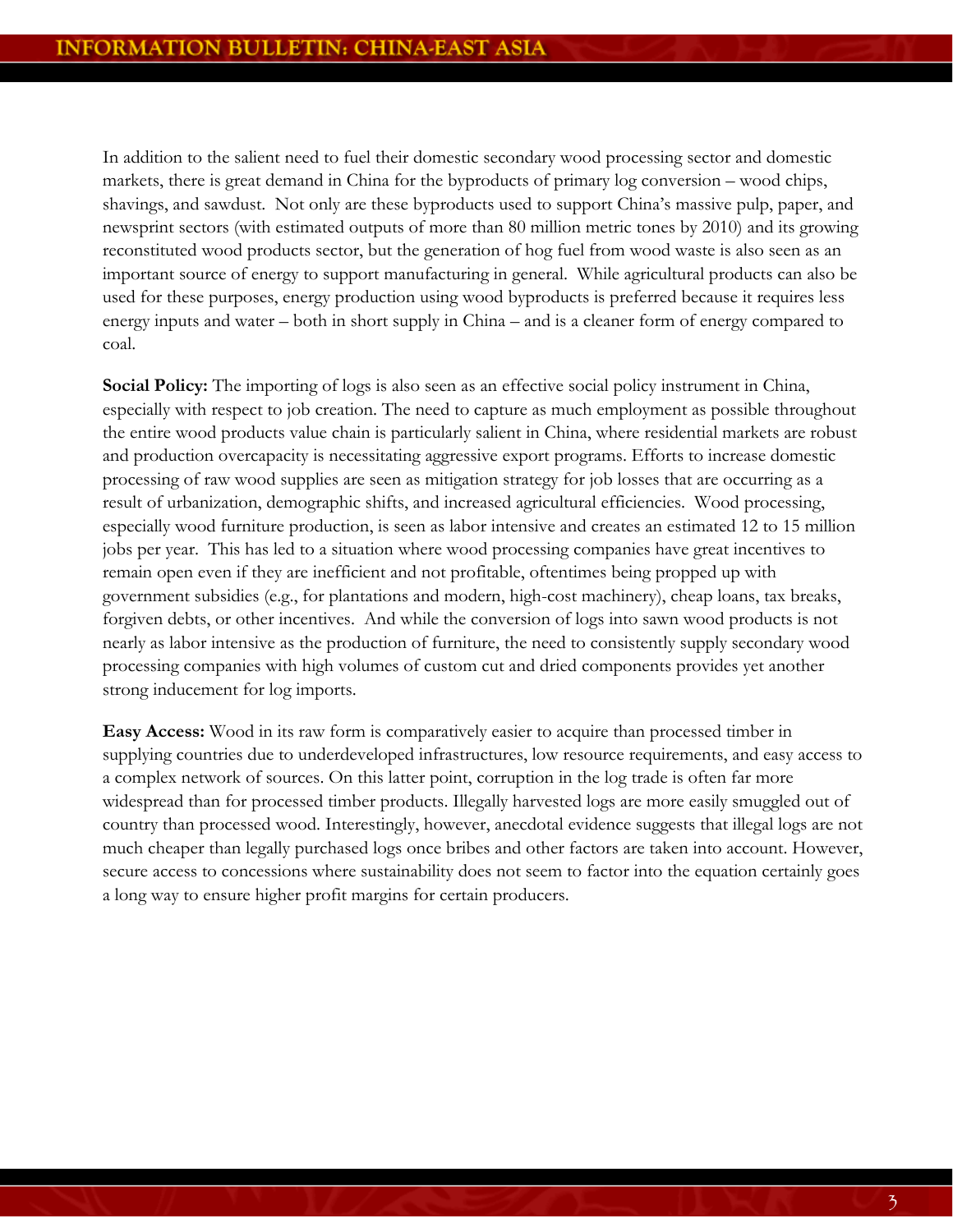In addition to the salient need to fuel their domestic secondary wood processing sector and domestic markets, there is great demand in China for the byproducts of primary log conversion – wood chips, shavings, and sawdust. Not only are these byproducts used to support China's massive pulp, paper, and newsprint sectors (with estimated outputs of more than 80 million metric tones by 2010) and its growing reconstituted wood products sector, but the generation of hog fuel from wood waste is also seen as an important source of energy to support manufacturing in general. While agricultural products can also be used for these purposes, energy production using wood byproducts is preferred because it requires less energy inputs and water – both in short supply in China – and is a cleaner form of energy compared to coal.

**Social Policy:** The importing of logs is also seen as an effective social policy instrument in China, especially with respect to job creation. The need to capture as much employment as possible throughout the entire wood products value chain is particularly salient in China, where residential markets are robust and production overcapacity is necessitating aggressive export programs. Efforts to increase domestic processing of raw wood supplies are seen as mitigation strategy for job losses that are occurring as a result of urbanization, demographic shifts, and increased agricultural efficiencies. Wood processing, especially wood furniture production, is seen as labor intensive and creates an estimated 12 to 15 million jobs per year. This has led to a situation where wood processing companies have great incentives to remain open even if they are inefficient and not profitable, oftentimes being propped up with government subsidies (e.g., for plantations and modern, high-cost machinery), cheap loans, tax breaks, forgiven debts, or other incentives. And while the conversion of logs into sawn wood products is not nearly as labor intensive as the production of furniture, the need to consistently supply secondary wood processing companies with high volumes of custom cut and dried components provides yet another strong inducement for log imports.

**Easy Access:** Wood in its raw form is comparatively easier to acquire than processed timber in supplying countries due to underdeveloped infrastructures, low resource requirements, and easy access to a complex network of sources. On this latter point, corruption in the log trade is often far more widespread than for processed timber products. Illegally harvested logs are more easily smuggled out of country than processed wood. Interestingly, however, anecdotal evidence suggests that illegal logs are not much cheaper than legally purchased logs once bribes and other factors are taken into account. However, secure access to concessions where sustainability does not seem to factor into the equation certainly goes a long way to ensure higher profit margins for certain producers.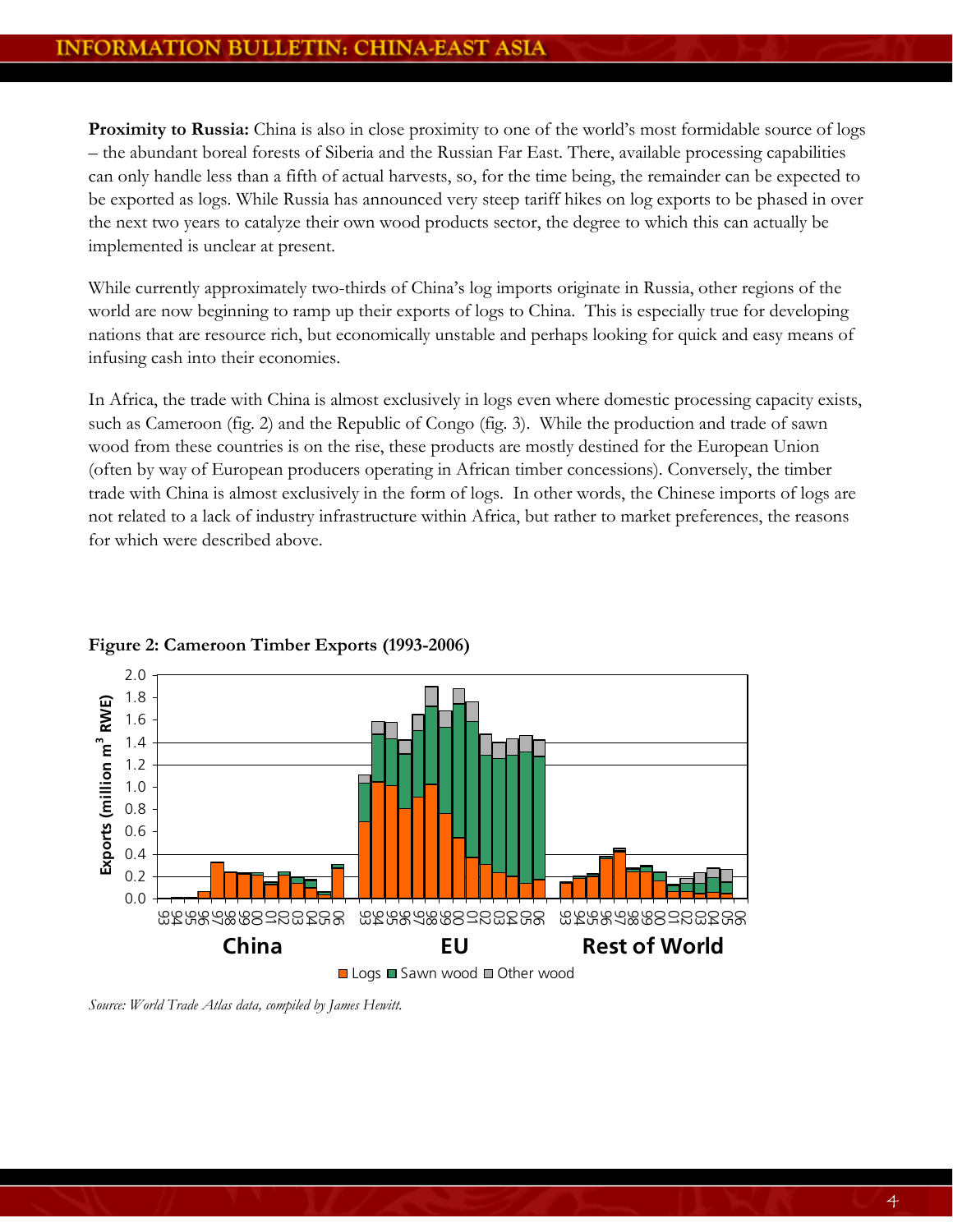Proximity to Russia: China is also in close proximity to one of the world's most formidable source of logs – the abundant boreal forests of Siberia and the Russian Far East. There, available processing capabilities can only handle less than a fifth of actual harvests, so, for the time being, the remainder can be expected to be exported as logs. While Russia has announced very steep tariff hikes on log exports to be phased in over the next two years to catalyze their own wood products sector, the degree to which this can actually be implemented is unclear at present.

While currently approximately two-thirds of China's log imports originate in Russia, other regions of the world are now beginning to ramp up their exports of logs to China. This is especially true for developing nations that are resource rich, but economically unstable and perhaps looking for quick and easy means of infusing cash into their economies.

In Africa, the trade with China is almost exclusively in logs even where domestic processing capacity exists, such as Cameroon (fig. 2) and the Republic of Congo (fig. 3). While the production and trade of sawn wood from these countries is on the rise, these products are mostly destined for the European Union (often by way of European producers operating in African timber concessions). Conversely, the timber trade with China is almost exclusively in the form of logs. In other words, the Chinese imports of logs are not related to a lack of industry infrastructure within Africa, but rather to market preferences, the reasons for which were described above.



**Figure 2: Cameroon Timber Exports (1993-2006)** 

■ Logs ■ Sawn wood ■ Other wood

*Source: World Trade Atlas data, compiled by James Hewitt.*